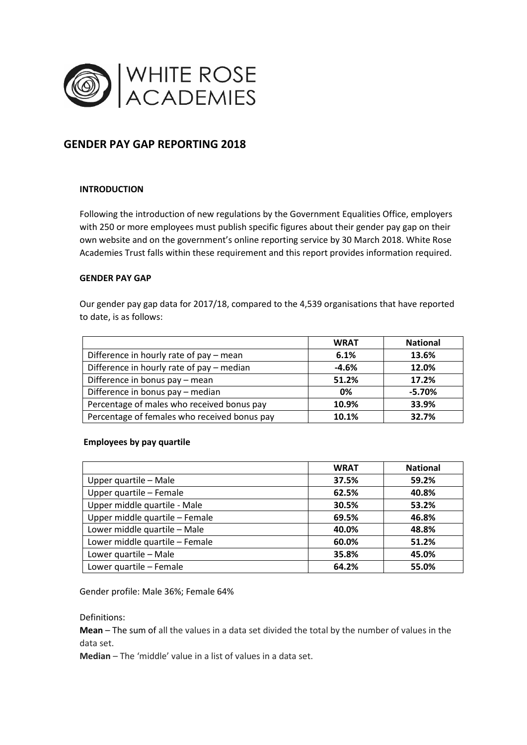

# **GENDER PAY GAP REPORTING 2018**

## **INTRODUCTION**

Following the introduction of new regulations by the Government Equalities Office, employers with 250 or more employees must publish specific figures about their gender pay gap on their own website and on the government's online reporting service by 30 March 2018. White Rose Academies Trust falls within these requirement and this report provides information required.

## **GENDER PAY GAP**

Our gender pay gap data for 2017/18, compared to the 4,539 organisations that have reported to date, is as follows:

|                                              | <b>WRAT</b> | <b>National</b> |
|----------------------------------------------|-------------|-----------------|
| Difference in hourly rate of pay - mean      | 6.1%        | 13.6%           |
| Difference in hourly rate of pay - median    | $-4.6%$     | 12.0%           |
| Difference in bonus pay - mean               | 51.2%       | 17.2%           |
| Difference in bonus pay - median             | 0%          | $-5.70%$        |
| Percentage of males who received bonus pay   | 10.9%       | 33.9%           |
| Percentage of females who received bonus pay | 10.1%       | 32.7%           |

## **Employees by pay quartile**

|                                | <b>WRAT</b> | <b>National</b> |
|--------------------------------|-------------|-----------------|
| Upper quartile - Male          | 37.5%       | 59.2%           |
| Upper quartile - Female        | 62.5%       | 40.8%           |
| Upper middle quartile - Male   | 30.5%       | 53.2%           |
| Upper middle quartile - Female | 69.5%       | 46.8%           |
| Lower middle quartile - Male   | 40.0%       | 48.8%           |
| Lower middle quartile - Female | 60.0%       | 51.2%           |
| Lower quartile - Male          | 35.8%       | 45.0%           |
| Lower quartile - Female        | 64.2%       | 55.0%           |

Gender profile: Male 36%; Female 64%

Definitions:

**Mean** – The sum of all the values in a data set divided the total by the number of values in the data set.

**Median** – The 'middle' value in a list of values in a data set.